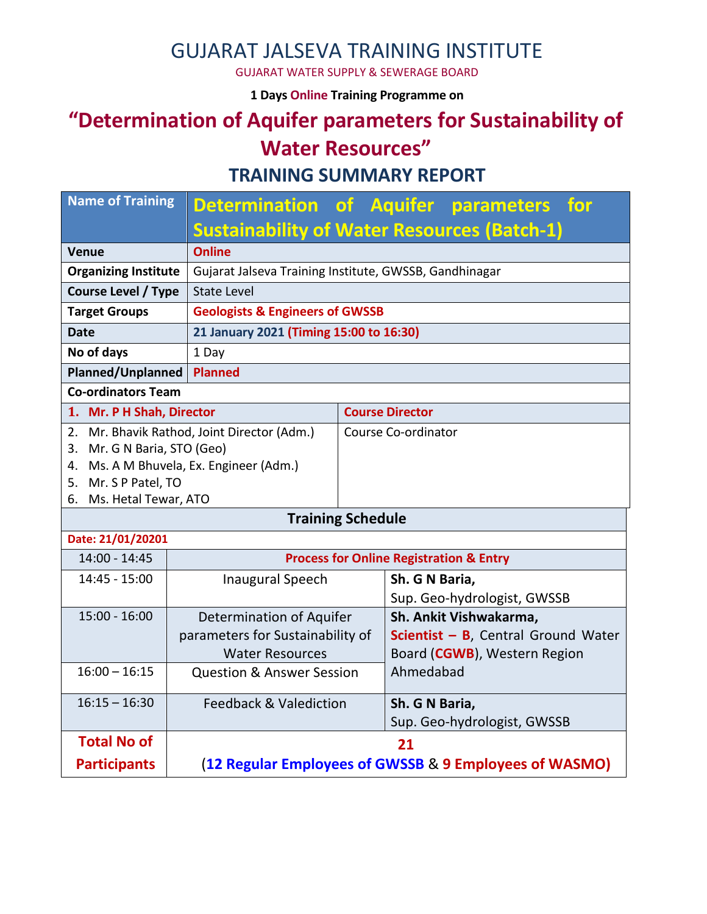## GUJARAT JALSEVA TRAINING INSTITUTE

GUJARAT WATER SUPPLY & SEWERAGE BOARD

**1 Days Online Training Programme on** 

# **"Determination of Aquifer parameters for Sustainability of Water Resources"**

**TRAINING SUMMARY REPORT**

| <b>Name of Training</b>                     |                                                        |                             |                                             | Determination of Aquifer parameters for            |  |
|---------------------------------------------|--------------------------------------------------------|-----------------------------|---------------------------------------------|----------------------------------------------------|--|
|                                             | <b>Sustainability of Water Resources (Batch-1)</b>     |                             |                                             |                                                    |  |
| <b>Venue</b>                                | <b>Online</b>                                          |                             |                                             |                                                    |  |
| <b>Organizing Institute</b>                 | Gujarat Jalseva Training Institute, GWSSB, Gandhinagar |                             |                                             |                                                    |  |
| <b>Course Level / Type</b>                  | <b>State Level</b>                                     |                             |                                             |                                                    |  |
| <b>Target Groups</b>                        | <b>Geologists &amp; Engineers of GWSSB</b>             |                             |                                             |                                                    |  |
| <b>Date</b>                                 | 21 January 2021 (Timing 15:00 to 16:30)                |                             |                                             |                                                    |  |
| No of days<br>1 Day                         |                                                        |                             |                                             |                                                    |  |
| <b>Planned/Unplanned</b>                    | <b>Planned</b>                                         |                             |                                             |                                                    |  |
| <b>Co-ordinators Team</b>                   |                                                        |                             |                                             |                                                    |  |
| 1. Mr. P H Shah, Director                   |                                                        | <b>Course Director</b>      |                                             |                                                    |  |
| 2. Mr. Bhavik Rathod, Joint Director (Adm.) |                                                        | Course Co-ordinator         |                                             |                                                    |  |
| 3. Mr. G N Baria, STO (Geo)                 |                                                        |                             |                                             |                                                    |  |
|                                             | 4. Ms. A M Bhuvela, Ex. Engineer (Adm.)                |                             |                                             |                                                    |  |
| 5. Mr. S P Patel, TO                        |                                                        |                             |                                             |                                                    |  |
|                                             | 6. Ms. Hetal Tewar, ATO                                |                             |                                             |                                                    |  |
|                                             | <b>Training Schedule</b>                               |                             |                                             |                                                    |  |
| Date: 21/01/20201                           |                                                        |                             |                                             |                                                    |  |
| 14:00 - 14:45                               |                                                        |                             |                                             | <b>Process for Online Registration &amp; Entry</b> |  |
| 14:45 - 15:00                               | <b>Inaugural Speech</b>                                |                             | Sh. G N Baria,                              |                                                    |  |
|                                             |                                                        |                             |                                             | Sup. Geo-hydrologist, GWSSB                        |  |
| $15:00 - 16:00$                             | <b>Determination of Aquifer</b>                        |                             |                                             | Sh. Ankit Vishwakarma,                             |  |
|                                             | parameters for Sustainability of                       |                             | <b>Scientist - B</b> , Central Ground Water |                                                    |  |
|                                             | <b>Water Resources</b>                                 |                             | Board (CGWB), Western Region                |                                                    |  |
| $16:00 - 16:15$                             | <b>Question &amp; Answer Session</b>                   |                             | Ahmedabad                                   |                                                    |  |
| $16:15 - 16:30$                             | <b>Feedback &amp; Valediction</b>                      |                             | Sh. G N Baria,                              |                                                    |  |
|                                             |                                                        | Sup. Geo-hydrologist, GWSSB |                                             |                                                    |  |
| <b>Total No of</b>                          | 21                                                     |                             |                                             |                                                    |  |
| <b>Participants</b>                         | (12 Regular Employees of GWSSB & 9 Employees of WASMO) |                             |                                             |                                                    |  |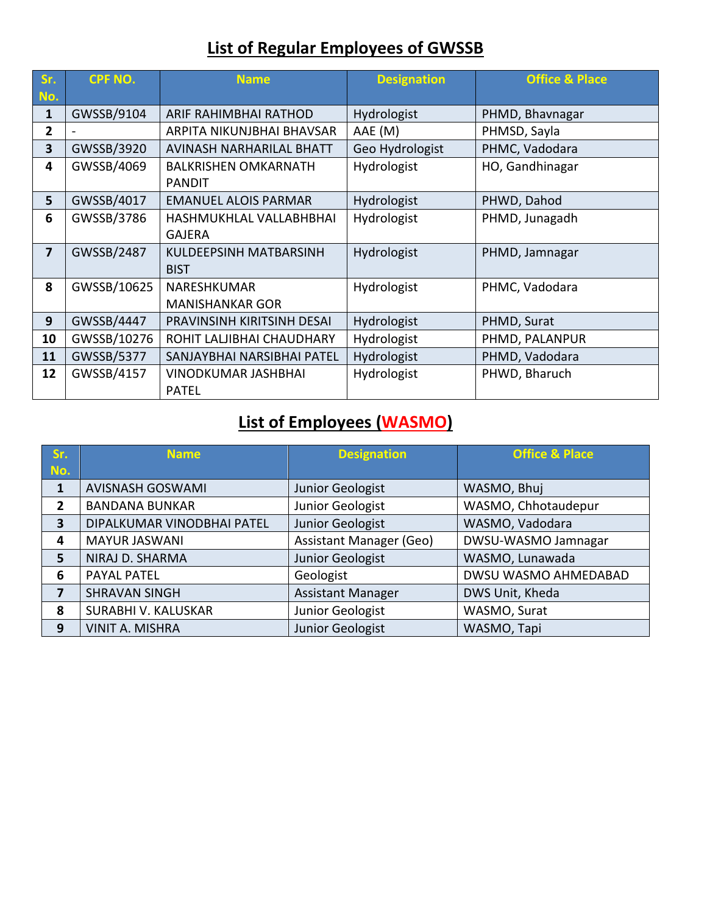## **List of Regular Employees of GWSSB**

| Sr.            | <b>CPF NO.</b> | <b>Name</b>                     | <b>Designation</b> | <b>Office &amp; Place</b> |
|----------------|----------------|---------------------------------|--------------------|---------------------------|
| No.            |                |                                 |                    |                           |
| $\mathbf{1}$   | GWSSB/9104     | ARIF RAHIMBHAI RATHOD           | Hydrologist        | PHMD, Bhavnagar           |
| $\overline{2}$ |                | ARPITA NIKUNJBHAI BHAVSAR       | AAE (M)            | PHMSD, Sayla              |
| 3              | GWSSB/3920     | <b>AVINASH NARHARILAL BHATT</b> | Geo Hydrologist    | PHMC, Vadodara            |
| 4              | GWSSB/4069     | <b>BALKRISHEN OMKARNATH</b>     | Hydrologist        | HO, Gandhinagar           |
|                |                | <b>PANDIT</b>                   |                    |                           |
| 5              | GWSSB/4017     | <b>EMANUEL ALOIS PARMAR</b>     | Hydrologist        | PHWD, Dahod               |
| 6              | GWSSB/3786     | HASHMUKHLAL VALLABHBHAI         | Hydrologist        | PHMD, Junagadh            |
|                |                | <b>GAJERA</b>                   |                    |                           |
| 7              | GWSSB/2487     | KULDEEPSINH MATBARSINH          | Hydrologist        | PHMD, Jamnagar            |
|                |                | <b>BIST</b>                     |                    |                           |
| 8              | GWSSB/10625    | NARESHKUMAR                     | Hydrologist        | PHMC, Vadodara            |
|                |                | <b>MANISHANKAR GOR</b>          |                    |                           |
| 9              | GWSSB/4447     | PRAVINSINH KIRITSINH DESAI      | Hydrologist        | PHMD, Surat               |
| 10             | GWSSB/10276    | ROHIT LALJIBHAI CHAUDHARY       | Hydrologist        | PHMD, PALANPUR            |
| 11             | GWSSB/5377     | SANJAYBHAI NARSIBHAI PATEL      | Hydrologist        | PHMD, Vadodara            |
| 12             | GWSSB/4157     | <b>VINODKUMAR JASHBHAI</b>      | Hydrologist        | PHWD, Bharuch             |
|                |                | <b>PATEL</b>                    |                    |                           |

#### **List of Employees (WASMO)**

| Sr.          | <b>Name</b>                | <b>Designation</b>             | <b>Office &amp; Place</b> |
|--------------|----------------------------|--------------------------------|---------------------------|
| No.          |                            |                                |                           |
| 1            | <b>AVISNASH GOSWAMI</b>    | Junior Geologist               | WASMO, Bhuj               |
| 2            | <b>BANDANA BUNKAR</b>      | Junior Geologist               | WASMO, Chhotaudepur       |
| $\mathbf{3}$ | DIPALKUMAR VINODBHAI PATEL | Junior Geologist               | WASMO, Vadodara           |
| 4            | <b>MAYUR JASWANI</b>       | <b>Assistant Manager (Geo)</b> | DWSU-WASMO Jamnagar       |
| 5            | NIRAJ D. SHARMA            | Junior Geologist               | WASMO, Lunawada           |
| 6            | <b>PAYAL PATEL</b>         | Geologist                      | DWSU WASMO AHMEDABAD      |
| 7            | <b>SHRAVAN SINGH</b>       | <b>Assistant Manager</b>       | DWS Unit, Kheda           |
| 8            | SURABHI V. KALUSKAR        | Junior Geologist               | WASMO, Surat              |
| 9            | <b>VINIT A. MISHRA</b>     | Junior Geologist               | WASMO, Tapi               |